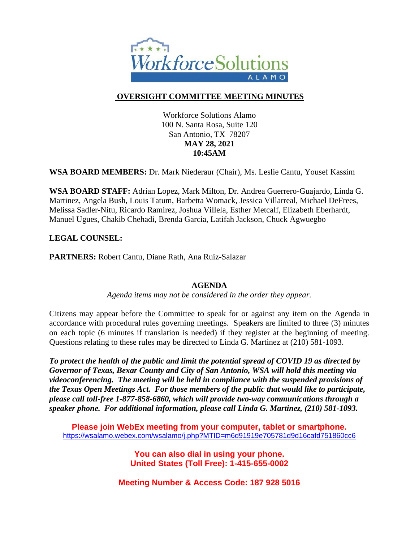

## **OVERSIGHT COMMITTEE MEETING MINUTES**

Workforce Solutions Alamo 100 N. Santa Rosa, Suite 120 San Antonio, TX 78207 **MAY 28, 2021 10:45AM**

**WSA BOARD MEMBERS:** Dr. Mark Niederaur (Chair), Ms. Leslie Cantu, Yousef Kassim

**WSA BOARD STAFF:** Adrian Lopez, Mark Milton, Dr. Andrea Guerrero-Guajardo, Linda G. Martinez, Angela Bush, Louis Tatum, Barbetta Womack, Jessica Villarreal, Michael DeFrees, Melissa Sadler-Nitu, Ricardo Ramirez, Joshua Villela, Esther Metcalf, Elizabeth Eberhardt, Manuel Ugues, Chakib Chehadi, Brenda Garcia, Latifah Jackson, Chuck Agwuegbo

### **LEGAL COUNSEL:**

**PARTNERS:** Robert Cantu, Diane Rath, Ana Ruiz-Salazar

### **AGENDA**

*Agenda items may not be considered in the order they appear.*

Citizens may appear before the Committee to speak for or against any item on the Agenda in accordance with procedural rules governing meetings. Speakers are limited to three (3) minutes on each topic (6 minutes if translation is needed) if they register at the beginning of meeting. Questions relating to these rules may be directed to Linda G. Martinez at (210) 581-1093.

*To protect the health of the public and limit the potential spread of COVID 19 as directed by Governor of Texas, Bexar County and City of San Antonio, WSA will hold this meeting via videoconferencing. The meeting will be held in compliance with the suspended provisions of the Texas Open Meetings Act. For those members of the public that would like to participate, please call toll-free 1-877-858-6860, which will provide two-way communications through a speaker phone. For additional information, please call Linda G. Martinez, (210) 581-1093.* 

**Please join WebEx meeting from your computer, tablet or smartphone.**  <https://wsalamo.webex.com/wsalamo/j.php?MTID=m6d91919e705781d9d16cafd751860cc6>

> **You can also dial in using your phone. United States (Toll Free): 1-415-655-0002**

**Meeting Number & Access Code: 187 928 5016**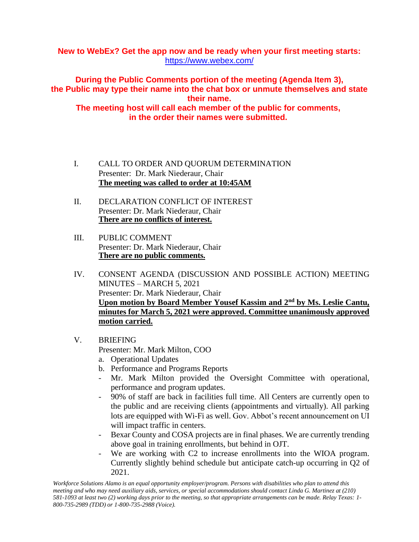### **New to WebEx? Get the app now and be ready when your first meeting starts:**  <https://www.webex.com/>

**During the Public Comments portion of the meeting (Agenda Item 3), the Public may type their name into the chat box or unmute themselves and state their name. The meeting host will call each member of the public for comments, in the order their names were submitted.**

- I. CALL TO ORDER AND QUORUM DETERMINATION Presenter: Dr. Mark Niederaur, Chair **The meeting was called to order at 10:45AM**
- II. DECLARATION CONFLICT OF INTEREST Presenter: Dr. Mark Niederaur, Chair **There are no conflicts of interest.**
- III. PUBLIC COMMENT Presenter: Dr. Mark Niederaur, Chair **There are no public comments.**
- IV. CONSENT AGENDA (DISCUSSION AND POSSIBLE ACTION) MEETING MINUTES – MARCH 5, 2021 Presenter: Dr. Mark Niederaur, Chair **Upon motion by Board Member Yousef Kassim and 2nd by Ms. Leslie Cantu, minutes for March 5, 2021 were approved. Committee unanimously approved motion carried.**
- V. BRIEFING

Presenter: Mr. Mark Milton, COO

- a. Operational Updates
- b. Performance and Programs Reports
- Mr. Mark Milton provided the Oversight Committee with operational, performance and program updates.
- 90% of staff are back in facilities full time. All Centers are currently open to the public and are receiving clients (appointments and virtually). All parking lots are equipped with Wi-Fi as well. Gov. Abbot's recent announcement on UI will impact traffic in centers.
- Bexar County and COSA projects are in final phases. We are currently trending above goal in training enrollments, but behind in OJT.
- We are working with C2 to increase enrollments into the WIOA program. Currently slightly behind schedule but anticipate catch-up occurring in Q2 of 2021.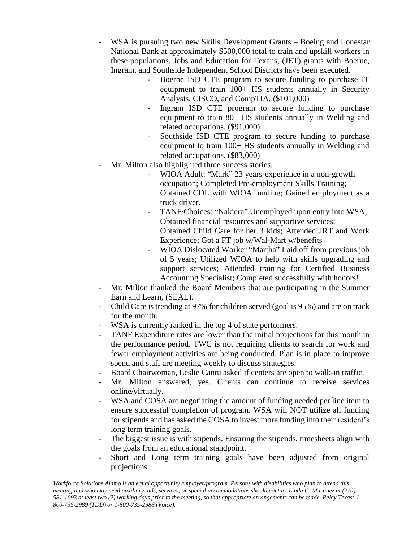- WSA is pursuing two new Skills Development Grants Boeing and Lonestar National Bank at approximately \$500,000 total to train and upskill workers in these populations. Jobs and Education for Texans, (JET) grants with Boerne, Ingram, and Southside Independent School Districts have been executed.
	- Boerne ISD CTE program to secure funding to purchase IT equipment to train 100+ HS students annually in Security Analysts, CISCO, and CompTIA, (\$101,000)
	- Ingram ISD CTE program to secure funding to purchase equipment to train 80+ HS students annually in Welding and related occupations. (\$91,000)
	- Southside ISD CTE program to secure funding to purchase equipment to train 100+ HS students annually in Welding and related occupations. (\$83,000)
- Mr. Milton also highlighted three success stories.
	- WIOA Adult: "Mark" 23 years-experience in a non-growth occupation; Completed Pre-employment Skills Training; Obtained CDL with WIOA funding; Gained employment as a truck driver.
	- TANF/Choices: "Nakiera" Unemployed upon entry into WSA; Obtained financial resources and supportive services; Obtained Child Care for her 3 kids; Attended JRT and Work Experience; Got a FT job w/Wal-Mart w/benefits
	- WIOA Dislocated Worker "Martha" Laid off from previous job of 5 years; Utilized WIOA to help with skills upgrading and support services; Attended training for Certified Business Accounting Specialist; Completed successfully with honors!
- Mr. Milton thanked the Board Members that are participating in the Summer Earn and Learn, (SEAL).
- Child Care is trending at 97% for children served (goal is 95%) and are on track for the month.
- WSA is currently ranked in the top 4 of state performers.
- TANF Expenditure rates are lower than the initial projections for this month in the performance period. TWC is not requiring clients to search for work and fewer employment activities are being conducted. Plan is in place to improve spend and staff are meeting weekly to discuss strategies.
- Board Chairwoman, Leslie Cantu asked if centers are open to walk-in traffic.
- Mr. Milton answered, yes. Clients can continue to receive services online/virtually.
- WSA and COSA are negotiating the amount of funding needed per line item to ensure successful completion of program. WSA will NOT utilize all funding for stipends and has asked the COSA to invest more funding into their resident's long term training goals.
- The biggest issue is with stipends. Ensuring the stipends, timesheets align with the goals from an educational standpoint.
- Short and Long term training goals have been adjusted from original projections.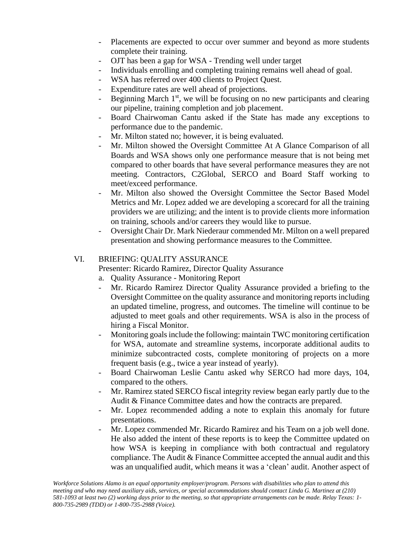- Placements are expected to occur over summer and beyond as more students complete their training.
- OJT has been a gap for WSA Trending well under target
- Individuals enrolling and completing training remains well ahead of goal.
- WSA has referred over 400 clients to Project Quest.
- Expenditure rates are well ahead of projections.
- Beginning March  $1<sup>st</sup>$ , we will be focusing on no new participants and clearing our pipeline, training completion and job placement.
- Board Chairwoman Cantu asked if the State has made any exceptions to performance due to the pandemic.
- Mr. Milton stated no; however, it is being evaluated.
- Mr. Milton showed the Oversight Committee At A Glance Comparison of all Boards and WSA shows only one performance measure that is not being met compared to other boards that have several performance measures they are not meeting. Contractors, C2Global, SERCO and Board Staff working to meet/exceed performance.
- Mr. Milton also showed the Oversight Committee the Sector Based Model Metrics and Mr. Lopez added we are developing a scorecard for all the training providers we are utilizing; and the intent is to provide clients more information on training, schools and/or careers they would like to pursue.
- Oversight Chair Dr. Mark Niederaur commended Mr. Milton on a well prepared presentation and showing performance measures to the Committee.

### VI. BRIEFING: QUALITY ASSURANCE

Presenter: Ricardo Ramirez, Director Quality Assurance

- a. Quality Assurance Monitoring Report
- Mr. Ricardo Ramirez Director Quality Assurance provided a briefing to the Oversight Committee on the quality assurance and monitoring reports including an updated timeline, progress, and outcomes. The timeline will continue to be adjusted to meet goals and other requirements. WSA is also in the process of hiring a Fiscal Monitor.
- Monitoring goals include the following: maintain TWC monitoring certification for WSA, automate and streamline systems, incorporate additional audits to minimize subcontracted costs, complete monitoring of projects on a more frequent basis (e.g., twice a year instead of yearly).
- Board Chairwoman Leslie Cantu asked why SERCO had more days, 104, compared to the others.
- Mr. Ramirez stated SERCO fiscal integrity review began early partly due to the Audit & Finance Committee dates and how the contracts are prepared.
- Mr. Lopez recommended adding a note to explain this anomaly for future presentations.
- Mr. Lopez commended Mr. Ricardo Ramirez and his Team on a job well done. He also added the intent of these reports is to keep the Committee updated on how WSA is keeping in compliance with both contractual and regulatory compliance. The Audit & Finance Committee accepted the annual audit and this was an unqualified audit, which means it was a 'clean' audit. Another aspect of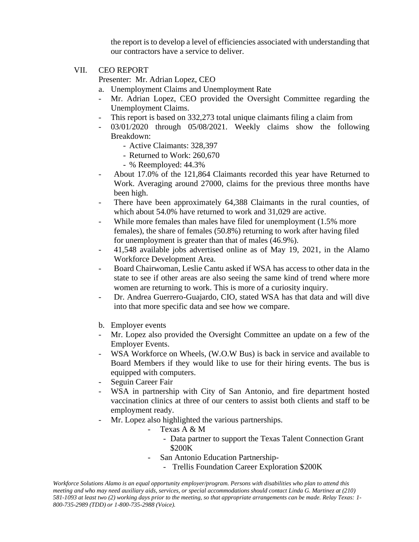the report is to develop a level of efficiencies associated with understanding that our contractors have a service to deliver.

VII. CEO REPORT

Presenter: Mr. Adrian Lopez, CEO

- a. Unemployment Claims and Unemployment Rate
- Mr. Adrian Lopez, CEO provided the Oversight Committee regarding the Unemployment Claims.
- This report is based on 332,273 total unique claimants filing a claim from
- 03/01/2020 through 05/08/2021. Weekly claims show the following Breakdown:
	- Active Claimants: 328,397
	- Returned to Work: 260,670
	- % Reemployed: 44.3%
- About 17.0% of the 121,864 Claimants recorded this year have Returned to Work. Averaging around 27000, claims for the previous three months have been high.
- There have been approximately 64,388 Claimants in the rural counties, of which about 54.0% have returned to work and 31,029 are active.
- While more females than males have filed for unemployment (1.5% more females), the share of females (50.8%) returning to work after having filed for unemployment is greater than that of males (46.9%).
- 41,548 available jobs advertised online as of May 19, 2021, in the Alamo Workforce Development Area.
- Board Chairwoman, Leslie Cantu asked if WSA has access to other data in the state to see if other areas are also seeing the same kind of trend where more women are returning to work. This is more of a curiosity inquiry.
- Dr. Andrea Guerrero-Guajardo, CIO, stated WSA has that data and will dive into that more specific data and see how we compare.
- b. Employer events
- Mr. Lopez also provided the Oversight Committee an update on a few of the Employer Events.
- WSA Workforce on Wheels, (W.O.W Bus) is back in service and available to Board Members if they would like to use for their hiring events. The bus is equipped with computers.
- Seguin Career Fair
- WSA in partnership with City of San Antonio, and fire department hosted vaccination clinics at three of our centers to assist both clients and staff to be employment ready.
- Mr. Lopez also highlighted the various partnerships.
	- Texas A & M
		- Data partner to support the Texas Talent Connection Grant \$200K
	- San Antonio Education Partnership-
		- Trellis Foundation Career Exploration \$200K

*Workforce Solutions Alamo is an equal opportunity employer/program. Persons with disabilities who plan to attend this meeting and who may need auxiliary aids, services, or special accommodations should contact Linda G. Martinez at (210) 581-1093 at least two (2) working days prior to the meeting, so that appropriate arrangements can be made. Relay Texas: 1- 800-735-2989 (TDD) or 1-800-735-2988 (Voice).*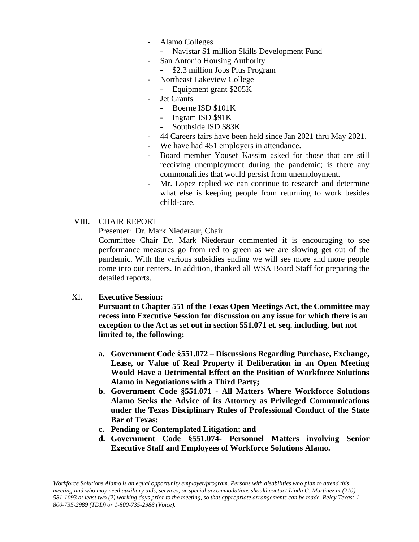- Alamo Colleges
	- Navistar \$1 million Skills Development Fund
- San Antonio Housing Authority
	- \$2.3 million Jobs Plus Program
- Northeast Lakeview College
	- Equipment grant \$205K
- Jet Grants
	- Boerne ISD \$101K
	- Ingram ISD \$91K
	- Southside ISD \$83K
- 44 Careers fairs have been held since Jan 2021 thru May 2021.
- We have had 451 employers in attendance.
- Board member Yousef Kassim asked for those that are still receiving unemployment during the pandemic; is there any commonalities that would persist from unemployment.
- Mr. Lopez replied we can continue to research and determine what else is keeping people from returning to work besides child-care.

#### VIII. CHAIR REPORT

Presenter: Dr. Mark Niederaur, Chair

Committee Chair Dr. Mark Niederaur commented it is encouraging to see performance measures go from red to green as we are slowing get out of the pandemic. With the various subsidies ending we will see more and more people come into our centers. In addition, thanked all WSA Board Staff for preparing the detailed reports.

### XI. **Executive Session:**

**Pursuant to Chapter 551 of the Texas Open Meetings Act, the Committee may recess into Executive Session for discussion on any issue for which there is an exception to the Act as set out in section 551.071 et. seq. including, but not limited to, the following:** 

- **a. Government Code §551.072 – Discussions Regarding Purchase, Exchange, Lease, or Value of Real Property if Deliberation in an Open Meeting Would Have a Detrimental Effect on the Position of Workforce Solutions Alamo in Negotiations with a Third Party;**
- **b. Government Code §551.071 - All Matters Where Workforce Solutions Alamo Seeks the Advice of its Attorney as Privileged Communications under the Texas Disciplinary Rules of Professional Conduct of the State Bar of Texas:**
- **c. Pending or Contemplated Litigation; and**
- **d. Government Code §551.074- Personnel Matters involving Senior Executive Staff and Employees of Workforce Solutions Alamo.**